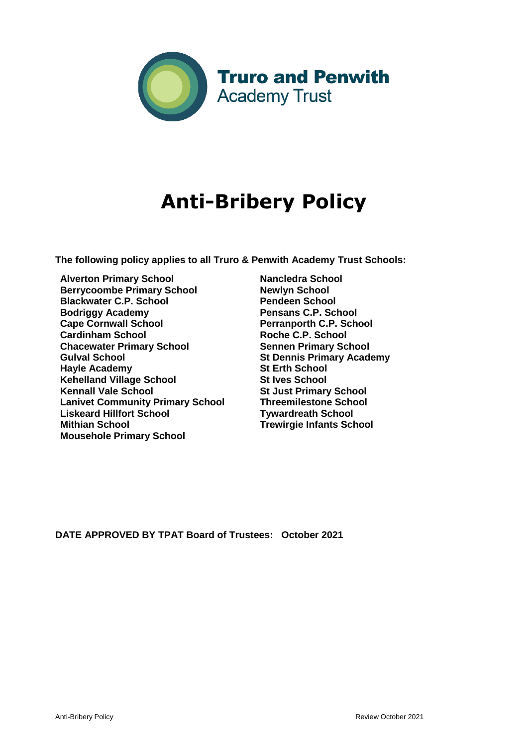

## **Anti-Bribery Policy**

**The following policy applies to all Truro & Penwith Academy Trust Schools:** 

- **Alverton Primary School Berrycoombe Primary School Blackwater C.P. School Bodriggy Academy Cape Cornwall School Cardinham School Chacewater Primary School Gulval School Hayle Academy Kehelland Village School Kennall Vale School Lanivet Community Primary School Liskeard Hillfort School Mithian School Mousehole Primary School**
- **Nancledra School Newlyn School Pendeen School Pensans C.P. School Perranporth C.P. School Roche C.P. School Sennen Primary School St Dennis Primary Academy St Erth School St Ives School St Just Primary School Threemilestone School Tywardreath School Trewirgie Infants School**

**DATE APPROVED BY TPAT Board of Trustees: October 2021**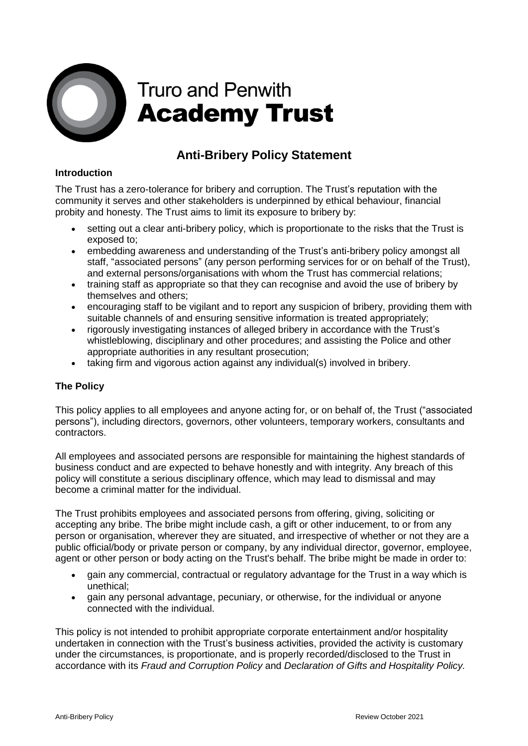

# **Truro and Penwith Academy Trust**

## **Anti-Bribery Policy Statement**

### **Introduction**

The Trust has a zero-tolerance for bribery and corruption. The Trust's reputation with the community it serves and other stakeholders is underpinned by ethical behaviour, financial probity and honesty. The Trust aims to limit its exposure to bribery by:

- setting out a clear anti-bribery policy, which is proportionate to the risks that the Trust is exposed to;
- embedding awareness and understanding of the Trust's anti-bribery policy amongst all staff, "associated persons" (any person performing services for or on behalf of the Trust), and external persons/organisations with whom the Trust has commercial relations;
- training staff as appropriate so that they can recognise and avoid the use of bribery by themselves and others;
- encouraging staff to be vigilant and to report any suspicion of bribery, providing them with suitable channels of and ensuring sensitive information is treated appropriately;
- rigorously investigating instances of alleged bribery in accordance with the Trust's whistleblowing, disciplinary and other procedures; and assisting the Police and other appropriate authorities in any resultant prosecution;
- taking firm and vigorous action against any individual(s) involved in bribery.

### **The Policy**

This policy applies to all employees and anyone acting for, or on behalf of, the Trust ("associated persons"), including directors, governors, other volunteers, temporary workers, consultants and contractors.

All employees and associated persons are responsible for maintaining the highest standards of business conduct and are expected to behave honestly and with integrity. Any breach of this policy will constitute a serious disciplinary offence, which may lead to dismissal and may become a criminal matter for the individual.

The Trust prohibits employees and associated persons from offering, giving, soliciting or accepting any bribe. The bribe might include cash, a gift or other inducement, to or from any person or organisation, wherever they are situated, and irrespective of whether or not they are a public official/body or private person or company, by any individual director, governor, employee, agent or other person or body acting on the Trust's behalf. The bribe might be made in order to:

- gain any commercial, contractual or regulatory advantage for the Trust in a way which is unethical;
- gain any personal advantage, pecuniary, or otherwise, for the individual or anyone connected with the individual.

This policy is not intended to prohibit appropriate corporate entertainment and/or hospitality undertaken in connection with the Trust's business activities, provided the activity is customary under the circumstances, is proportionate, and is properly recorded/disclosed to the Trust in accordance with its *Fraud and Corruption Policy* and *Declaration of Gifts and Hospitality Policy.*